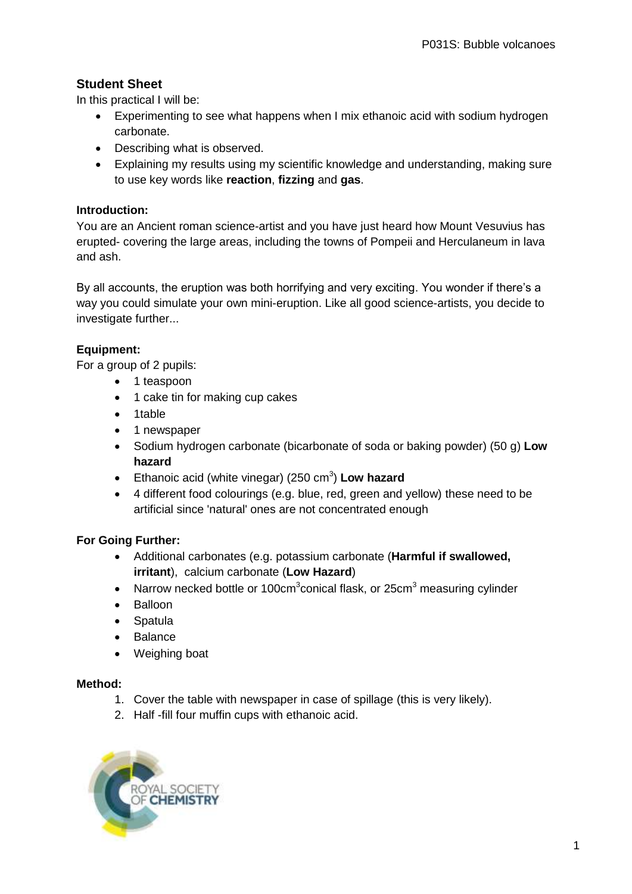# **Student Sheet**

In this practical I will be:

- Experimenting to see what happens when I mix ethanoic acid with sodium hydrogen carbonate.
- Describing what is observed.
- Explaining my results using my scientific knowledge and understanding, making sure to use key words like **reaction**, **fizzing** and **gas**.

#### **Introduction:**

You are an Ancient roman science-artist and you have just heard how Mount Vesuvius has erupted- covering the large areas, including the towns of Pompeii and Herculaneum in lava and ash.

By all accounts, the eruption was both horrifying and very exciting. You wonder if there's a way you could simulate your own mini-eruption. Like all good science-artists, you decide to investigate further...

## **Equipment:**

For a group of 2 pupils:

- 1 teaspoon
- 1 cake tin for making cup cakes
- 1table
- 1 newspaper
- Sodium hydrogen carbonate (bicarbonate of soda or baking powder) (50 g) **Low hazard**
- **Ethanoic acid (white vinegar) (250 cm<sup>3</sup>) Low hazard**
- 4 different food colourings (e.g. blue, red, green and yellow) these need to be artificial since 'natural' ones are not concentrated enough

## **For Going Further:**

- Additional carbonates (e.g. potassium carbonate (**Harmful if swallowed, irritant**), calcium carbonate (**Low Hazard**)
- Narrow necked bottle or 100cm<sup>3</sup>conical flask, or 25cm<sup>3</sup> measuring cylinder
- Balloon
- Spatula
- Balance
- Weighing boat

#### **Method:**

- 1. Cover the table with newspaper in case of spillage (this is very likely).
- 2. Half -fill four muffin cups with ethanoic acid.